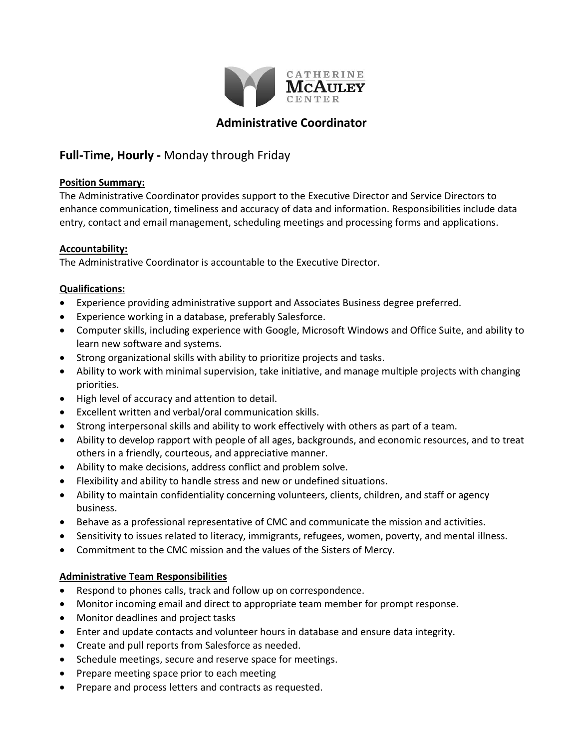

# **Administrative Coordinator**

# **Full-Time, Hourly -** Monday through Friday

### **Position Summary:**

The Administrative Coordinator provides support to the Executive Director and Service Directors to enhance communication, timeliness and accuracy of data and information. Responsibilities include data entry, contact and email management, scheduling meetings and processing forms and applications.

### **Accountability:**

The Administrative Coordinator is accountable to the Executive Director.

## **Qualifications:**

- Experience providing administrative support and Associates Business degree preferred.
- Experience working in a database, preferably Salesforce.
- Computer skills, including experience with Google, Microsoft Windows and Office Suite, and ability to learn new software and systems.
- Strong organizational skills with ability to prioritize projects and tasks.
- Ability to work with minimal supervision, take initiative, and manage multiple projects with changing priorities.
- High level of accuracy and attention to detail.
- Excellent written and verbal/oral communication skills.
- Strong interpersonal skills and ability to work effectively with others as part of a team.
- Ability to develop rapport with people of all ages, backgrounds, and economic resources, and to treat others in a friendly, courteous, and appreciative manner.
- Ability to make decisions, address conflict and problem solve.
- Flexibility and ability to handle stress and new or undefined situations.
- Ability to maintain confidentiality concerning volunteers, clients, children, and staff or agency business.
- Behave as a professional representative of CMC and communicate the mission and activities.
- Sensitivity to issues related to literacy, immigrants, refugees, women, poverty, and mental illness.
- Commitment to the CMC mission and the values of the Sisters of Mercy.

### **Administrative Team Responsibilities**

- Respond to phones calls, track and follow up on correspondence.
- Monitor incoming email and direct to appropriate team member for prompt response.
- Monitor deadlines and project tasks
- Enter and update contacts and volunteer hours in database and ensure data integrity.
- Create and pull reports from Salesforce as needed.
- Schedule meetings, secure and reserve space for meetings.
- Prepare meeting space prior to each meeting
- Prepare and process letters and contracts as requested.